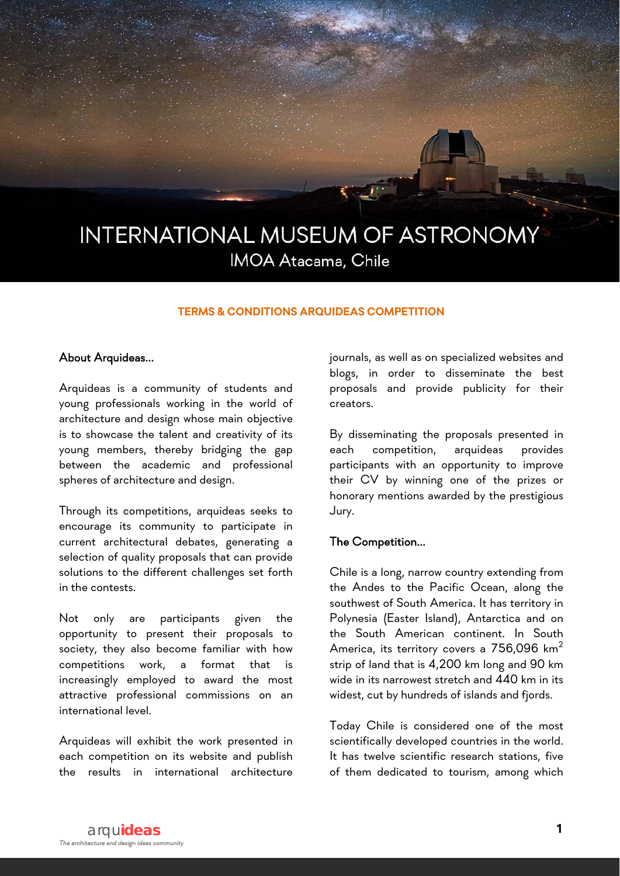

#### **TERMS & CONDITIONS ARQUIDEAS COMPETITION**

#### About Arquideas...

Arquideas is a community of students and young professionals working in the world of architecture and design whose main objective is to showcase the talent and creativity of its young members, thereby bridging the gap between the academic and professional spheres of architecture and design.

Through its competitions, arquideas seeks to encourage its community to participate in current architectural debates, generating a selection of quality proposals that can provide solutions to the different challenges set forth in the contests.

Not only are participants given the opportunity to present their proposals to society, they also become familiar with how competitions work, a format that is increasingly employed to award the most attractive professional commissions on an international level.

Arquideas will exhibit the work presented in each competition on its website and publish the results in international architecture journals, as well as on specialized websites and blogs, in order to disseminate the best proposals and provide publicity for their creators.

By disseminating the proposals presented in each competition, arquideas provides participants with an opportunity to improve their CV by winning one of the prizes or honorary mentions awarded by the prestigious Jury.

### The Competition...

Chile is a long, narrow country extending from the Andes to the Pacific Ocean, along the southwest of South America. It has territory in Polynesia (Easter Island), Antarctica and on the South American continent. In South America, its territory covers a 756,096 km $^2$ strip of land that is 4,200 km long and 90 km wide in its narrowest stretch and 440 km in its widest, cut by hundreds of islands and fjords.

Today Chile is considered one of the most scientifically developed countries in the world. It has twelve scientific research stations, five of them dedicated to tourism, among which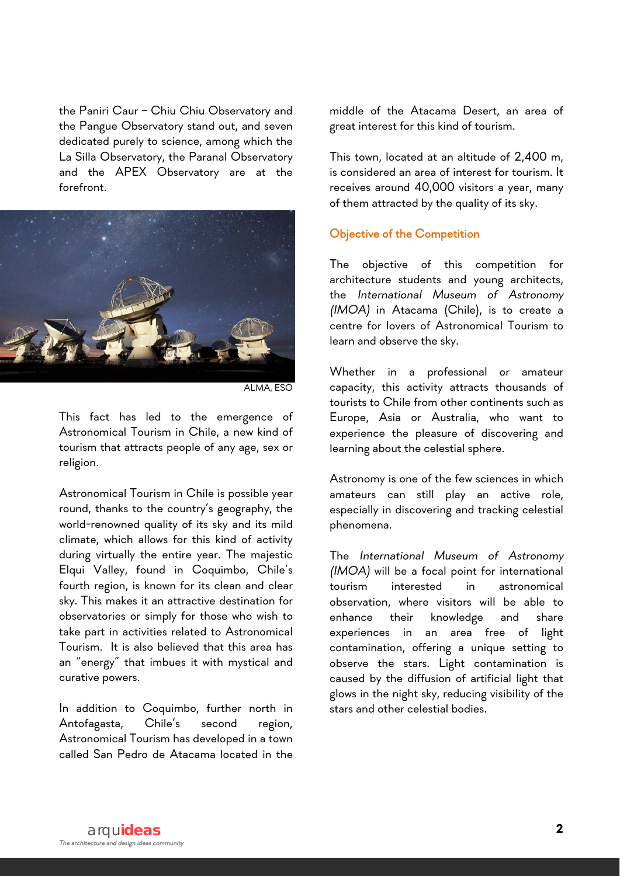the Paniri Caur – Chiu Chiu Observatory and the Pangue Observatory stand out, and seven dedicated purely to science, among which the La Silla Observatory, the Paranal Observatory and the APEX Observatory are at the forefront.



ALMA, ESO

This fact has led to the emergence of Astronomical Tourism in Chile, a new kind of tourism that attracts people of any age, sex or religion.

Astronomical Tourism in Chile is possible year round, thanks to the country's geography, the world-renowned quality of its sky and its mild climate, which allows for this kind of activity during virtually the entire year. The majestic Elqui Valley, found in Coquimbo, Chile's fourth region, is known for its clean and clear sky. This makes it an attractive destination for observatories or simply for those who wish to take part in activities related to Astronomical Tourism. It is also believed that this area has an "energy" that imbues it with mystical and curative powers.

In addition to Coquimbo, further north in Antofagasta, Chile's second region, Astronomical Tourism has developed in a town called San Pedro de Atacama located in the middle of the Atacama Desert, an area of great interest for this kind of tourism.

This town, located at an altitude of 2,400 m, is considered an area of interest for tourism. It receives around 40,000 visitors a year, many of them attracted by the quality of its sky.

### Objective of the Competition

The objective of this competition for architecture students and young architects, the *International Museum of Astronomy (IMOA)* in Atacama (Chile), is to create a centre for lovers of Astronomical Tourism to learn and observe the sky.

Whether in a professional or amateur capacity, this activity attracts thousands of tourists to Chile from other continents such as Europe, Asia or Australia, who want to experience the pleasure of discovering and learning about the celestial sphere.

Astronomy is one of the few sciences in which amateurs can still play an active role, especially in discovering and tracking celestial phenomena.

The *International Museum of Astronomy (IMOA)* will be a focal point for international tourism interested in astronomical observation, where visitors will be able to enhance their knowledge and share experiences in an area free of light contamination, offering a unique setting to observe the stars. Light contamination is caused by the diffusion of artificial light that glows in the night sky, reducing visibility of the stars and other celestial bodies.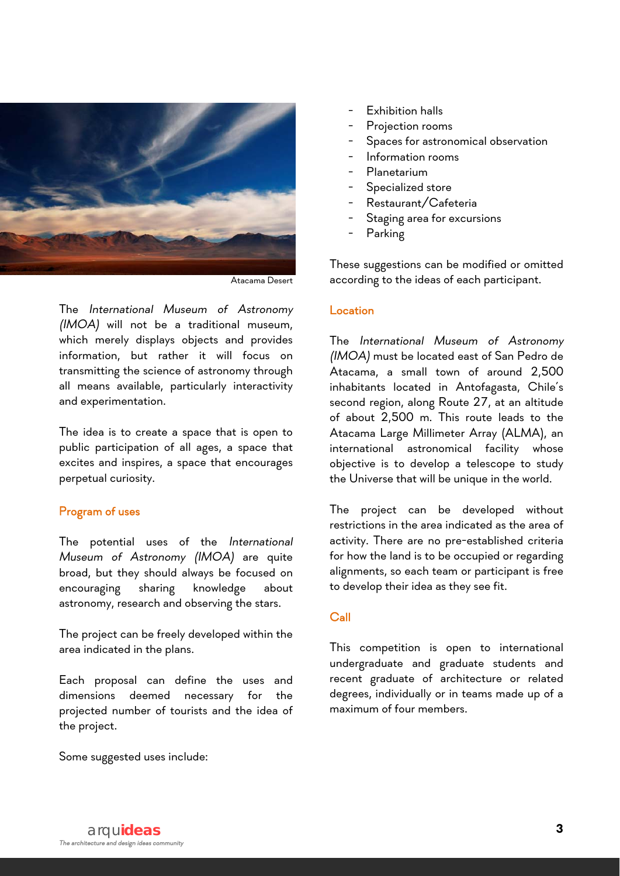

Atacama Desert

The *International Museum of Astronomy (IMOA)* will not be a traditional museum, which merely displays objects and provides information, but rather it will focus on transmitting the science of astronomy through all means available, particularly interactivity and experimentation.

The idea is to create a space that is open to public participation of all ages, a space that excites and inspires, a space that encourages perpetual curiosity.

#### Program of uses

The potential uses of the *International Museum of Astronomy (IMOA)* are quite broad, but they should always be focused on encouraging sharing knowledge about astronomy, research and observing the stars.

The project can be freely developed within the area indicated in the plans.

Each proposal can define the uses and dimensions deemed necessary for the projected number of tourists and the idea of the project.

Some suggested uses include:

- Exhibition halls
- Projection rooms
- Spaces for astronomical observation
- Information rooms
- **Planetarium**
- Specialized store
- Restaurant/Cafeteria
- Staging area for excursions
- **Parking**

These suggestions can be modified or omitted according to the ideas of each participant.

#### Location

The *International Museum of Astronomy (IMOA)* must be located east of San Pedro de Atacama, a small town of around 2,500 inhabitants located in Antofagasta, Chile's second region, along Route 27, at an altitude of about 2,500 m. This route leads to the Atacama Large Millimeter Array (ALMA), an international astronomical facility whose objective is to develop a telescope to study the Universe that will be unique in the world.

The project can be developed without restrictions in the area indicated as the area of activity. There are no pre-established criteria for how the land is to be occupied or regarding alignments, so each team or participant is free to develop their idea as they see fit.

### Call

This competition is open to international undergraduate and graduate students and recent graduate of architecture or related degrees, individually or in teams made up of a maximum of four members.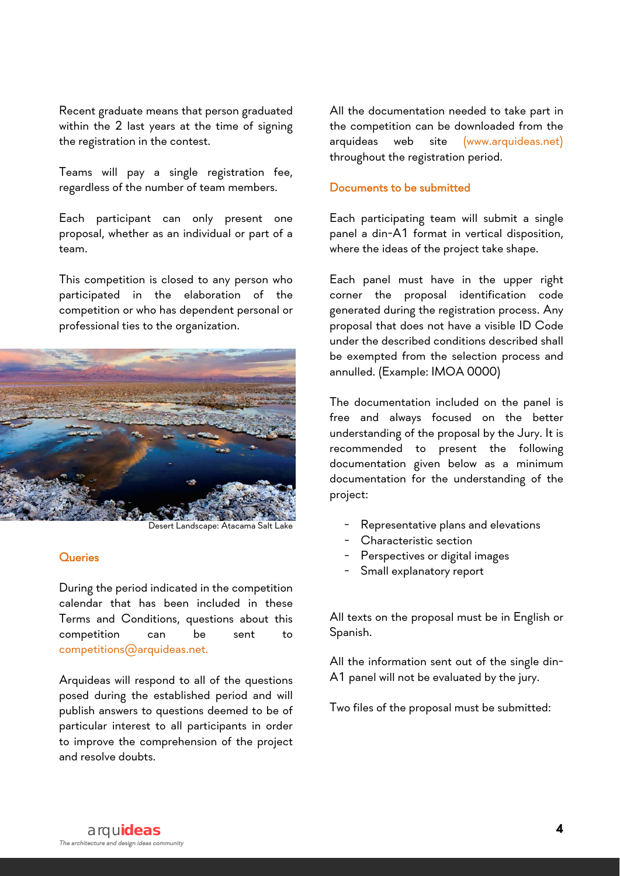Recent graduate means that person graduated within the 2 last years at the time of signing the registration in the contest.

Teams will pay a single registration fee, regardless of the number of team members.

Each participant can only present one proposal, whether as an individual or part of a team.

This competition is closed to any person who participated in the elaboration of the competition or who has dependent personal or professional ties to the organization.



Desert Landscape: Atacama Salt Lake

#### **Queries**

During the period indicated in the competition calendar that has been included in these Terms and Conditions, questions about this competition can be sent to competitions@arquideas.net.

Arquideas will respond to all of the questions posed during the established period and will publish answers to questions deemed to be of particular interest to all participants in order to improve the comprehension of the project and resolve doubts.

All the documentation needed to take part in the competition can be downloaded from the arquideas web site (www.arquideas.net) throughout the registration period.

#### Documents to be submitted

Each participating team will submit a single panel a din-A1 format in vertical disposition, where the ideas of the project take shape.

Each panel must have in the upper right corner the proposal identification code generated during the registration process. Any proposal that does not have a visible ID Code under the described conditions described shall be exempted from the selection process and annulled. (Example: IMOA 0000)

The documentation included on the panel is free and always focused on the better understanding of the proposal by the Jury. It is recommended to present the following documentation given below as a minimum documentation for the understanding of the project:

- Representative plans and elevations
- Characteristic section
- Perspectives or digital images
- Small explanatory report

All texts on the proposal must be in English or Spanish.

All the information sent out of the single din-A1 panel will not be evaluated by the jury.

Two files of the proposal must be submitted: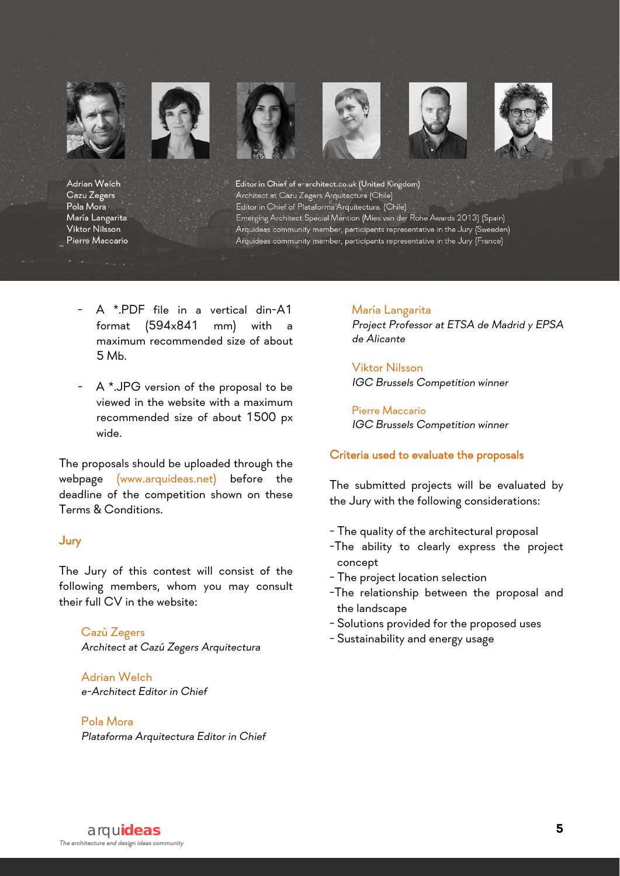

Adrian Welch Cazu Zegers Pola Mora María Langarita Viktor Nilsson Pierre Maccario Editor in Chief of e-architect.co.uk (United Kingdom) Architect at Cazu Zegers Arquitectura (Chile) Editor in Chief of Plataforma Arquitectura. (Chile) Emerging Architect Special Mention (Mies van der Rohe Awards 2013) (Spain) Arquideas community member, participants representative in the Jury (Sweeden) Arquideas community member, participants representative in the Jury (France)

- A \*.PDF file in a vertical din-A1 format (594x841 mm) with a maximum recommended size of about 5 Mb.
- A \*.JPG version of the proposal to be viewed in the website with a maximum recommended size of about 1500 px wide.

The proposals should be uploaded through the webpage (www.arquideas.net) before the deadline of the competition shown on these Terms & Conditions.

## Jury

The Jury of this contest will consist of the following members, whom you may consult their full CV in the website:

Cazú Zegers *Architect at Cazú Zegers Arquitectura* 

Adrian Welch *e-Architect Editor in Chief* 

Pola Mora *Plataforma Arquitectura Editor in Chief*  María Langarita *Project Professor at ETSA de Madrid y EPSA de Alicante* 

Viktor Nilsson *IGC Brussels Competition winner* 

Pierre Maccario *IGC Brussels Competition winner* 

#### Criteria used to evaluate the proposals

The submitted projects will be evaluated by the Jury with the following considerations:

- The quality of the architectural proposal
- -The ability to clearly express the project concept
- The project location selection
- -The relationship between the proposal and the landscape
- Solutions provided for the proposed uses
- Sustainability and energy usage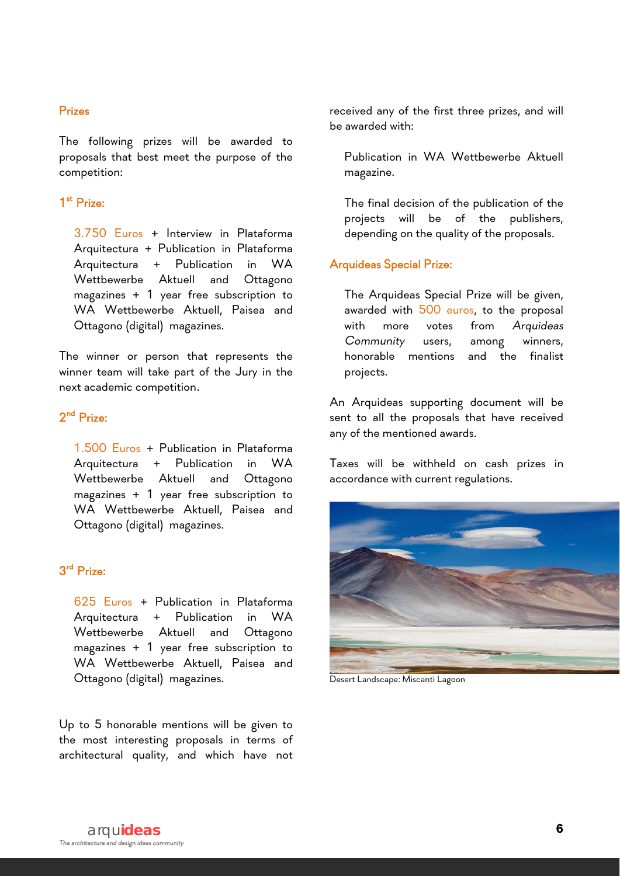### Prizes

The following prizes will be awarded to proposals that best meet the purpose of the competition:

# 1st Prize:

3.750 Euros + Interview in Plataforma Arquitectura + Publication in Plataforma Arquitectura + Publication in WA Wettbewerbe Aktuell and Ottagono magazines + 1 year free subscription to WA Wettbewerbe Aktuell, Paisea and Ottagono (digital) magazines.

The winner or person that represents the winner team will take part of the Jury in the next academic competition.

# 2nd Prize:

1.500 Euros + Publication in Plataforma Arquitectura + Publication in WA Wettbewerbe Aktuell and Ottagono magazines + 1 year free subscription to WA Wettbewerbe Aktuell, Paisea and Ottagono (digital) magazines.

# 3rd Prize:

625 Euros + Publication in Plataforma Arquitectura + Publication in WA Wettbewerbe Aktuell and Ottagono magazines + 1 year free subscription to WA Wettbewerbe Aktuell, Paisea and Ottagono (digital) magazines.

Up to 5 honorable mentions will be given to the most interesting proposals in terms of architectural quality, and which have not

received any of the first three prizes, and will be awarded with:

Publication in WA Wettbewerbe Aktuell magazine.

The final decision of the publication of the projects will be of the publishers, depending on the quality of the proposals.

### Arquideas Special Prize:

The Arquideas Special Prize will be given, awarded with 500 euros, to the proposal with more votes from *Arquideas Community* users, among winners, honorable mentions and the finalist projects.

An Arquideas supporting document will be sent to all the proposals that have received any of the mentioned awards.

Taxes will be withheld on cash prizes in accordance with current regulations.



Desert Landscape: Miscanti Lagoon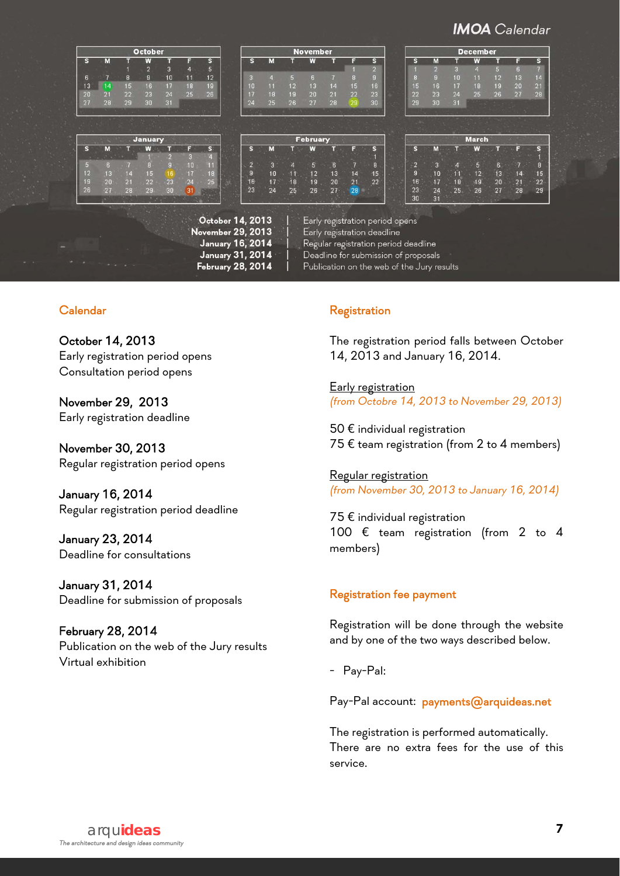# **IMOA** Calendar

 $\begin{array}{c} 8 \\ 15 \\ 22 \\ 29 \end{array}$  $\begin{array}{c} 7 \\ 14 \\ 21 \\ 28 \end{array}$  $\frac{13}{20}$  $\frac{12}{19}$ <br>26

**December** 

**March** 

|    |    | <b>November</b>         |    |    |                |               |                |              |  | <b>October</b> |    |    |                |    |    |                       |
|----|----|-------------------------|----|----|----------------|---------------|----------------|--------------|--|----------------|----|----|----------------|----|----|-----------------------|
| M  | s  | $\overline{\mathbf{s}}$ | F  |    | W              |               | M              | $\mathbf{s}$ |  | $\mathbf{s}$   | E  |    | W              |    | M  | S                     |
|    |    | $\overline{2}$          |    |    |                |               |                |              |  | 5              | 4  | 3  | $\overline{2}$ |    |    |                       |
|    | 8  | g                       | 8  |    | П              | $\frac{1}{2}$ |                | 3            |  | 12             | 11 | 10 | $\mathbf{g}$   | 8  |    | 6                     |
| 16 | 15 | 16 <sub>1</sub>         | 15 | 14 | 13             | 12            | 11             | 10           |  | 19             | 18 | 17 | 16             | 15 | 14 | 13                    |
| 23 | 22 | 23                      | 22 | 21 | 20             | 1.9           | 18             | 17           |  | 26             | 25 | 24 | 23             | 22 | 21 | 20                    |
| 30 | 29 | 30                      | 29 | 28 | 27             | 26            | 25             | 24           |  |                |    | 31 | 30             | 29 | 28 | 27                    |
|    |    |                         |    |    |                |               |                |              |  |                |    |    |                |    |    |                       |
|    |    |                         |    |    |                |               |                |              |  |                |    |    |                |    |    |                       |
|    |    |                         |    |    | February       |               |                |              |  |                |    |    | <b>January</b> |    |    |                       |
| M  | s  | S                       | F  |    | W              |               | м              | S            |  | S              | F  |    | W              |    | M  |                       |
|    |    |                         |    |    |                |               |                |              |  | $\overline{4}$ | 3  |    |                |    |    |                       |
| 3  | G  | 8                       |    | 6  | 5 <sub>1</sub> |               | $\overline{3}$ | $\Omega$     |  | 11             | 10 | g, | 8              |    | 6  |                       |
| 10 | 9  | 15                      | 14 | 13 | 12             | $-1 - 1$      | 10             | 9            |  | 18             | 17 | ៲ឩ | 15             | 14 | 13 | S<br>$\sqrt{2}$<br>12 |
| 17 | 16 | 22                      | 21 | 20 | 19             | 18            | 17             | 16           |  | 25             | 24 | 23 | 22             | 21 | 20 | 19                    |
| 24 | 23 |                         | 28 | 27 | 26             | 25            | 24             | 23           |  |                | 31 | 30 | 29             | 28 | 27 | 26                    |

October 14, 2013 November 29, 2013 January 16, 2014 January 31, 2014 February 28, 2014

Early registration period opens

l

Early registration deadline<br>Regular registration period deadline

Deadline for submission of proposals

Publication on the web of the Jury results

# Calendar

l

October 14, 2013 Early registration period opens Consultation period opens

November 29, 2013 Early registration deadline

November 30, 2013 Regular registration period opens

January 16, 2014 Regular registration period deadline

January 23, 2014 Deadline for consultations

January 31, 2014 Deadline for submission of proposals

February 28, 2014 Publication on the web of the Jury results Virtual exhibition

# **Registration**

The registration period falls between October 14, 2013 and January 16, 2014.

**Early registration** *(from Octobre 14, 2013 to November 29, 2013)* 

 $50 \, \epsilon$  individual registration 75 € team registration (from 2 to 4 members)

Regular registration *(from November 30, 2013 to January 16, 2014)* 

75 € individual registration 100 € team registration (from 2 to 4 members)

# Registration fee payment

Registration will be done through the website and by one of the two ways described below.

- Pay-Pal:

Pay-Pal account: payments@arquideas.net

The registration is performed automatically. There are no extra fees for the use of this service.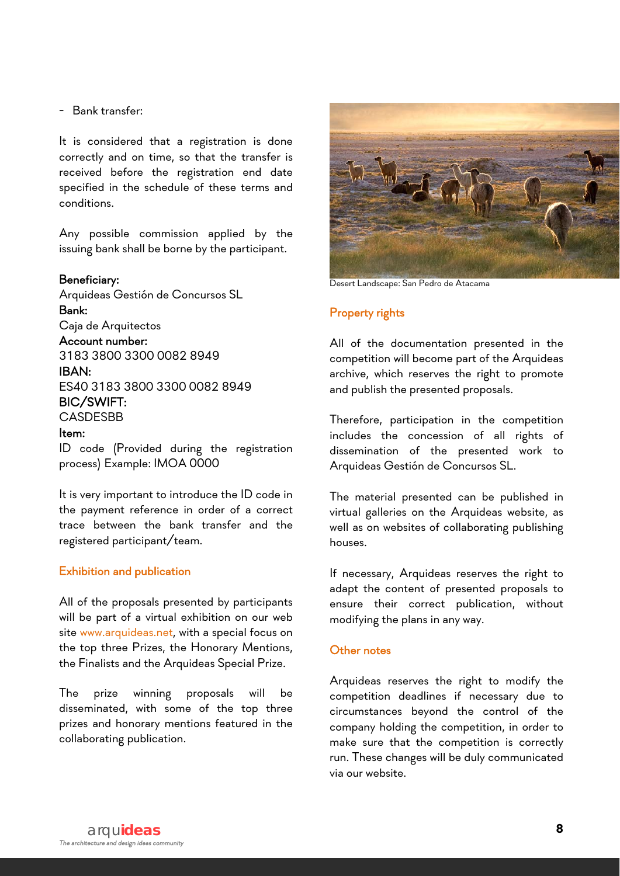## - Bank transfer:

It is considered that a registration is done correctly and on time, so that the transfer is received before the registration end date specified in the schedule of these terms and conditions.

Any possible commission applied by the issuing bank shall be borne by the participant.

### Beneficiary:

Arquideas Gestión de Concursos SL Bank:

# Caja de Arquitectos

Account number:

3183 3800 3300 0082 8949 IBAN:

ES40 3183 3800 3300 0082 8949

BIC/SWIFT:

## **CASDESBB**

#### Item:

ID code (Provided during the registration process) Example: IMOA 0000

It is very important to introduce the ID code in the payment reference in order of a correct trace between the bank transfer and the registered participant/team.

#### Exhibition and publication

All of the proposals presented by participants will be part of a virtual exhibition on our web site www.arquideas.net, with a special focus on the top three Prizes, the Honorary Mentions, the Finalists and the Arquideas Special Prize.

The prize winning proposals will be disseminated, with some of the top three prizes and honorary mentions featured in the collaborating publication.



Desert Landscape: San Pedro de Atacama

#### Property rights

All of the documentation presented in the competition will become part of the Arquideas archive, which reserves the right to promote and publish the presented proposals.

Therefore, participation in the competition includes the concession of all rights of dissemination of the presented work to Arquideas Gestión de Concursos SL.

The material presented can be published in virtual galleries on the Arquideas website, as well as on websites of collaborating publishing houses.

If necessary, Arquideas reserves the right to adapt the content of presented proposals to ensure their correct publication, without modifying the plans in any way.

#### Other notes

Arquideas reserves the right to modify the competition deadlines if necessary due to circumstances beyond the control of the company holding the competition, in order to make sure that the competition is correctly run. These changes will be duly communicated via our website.